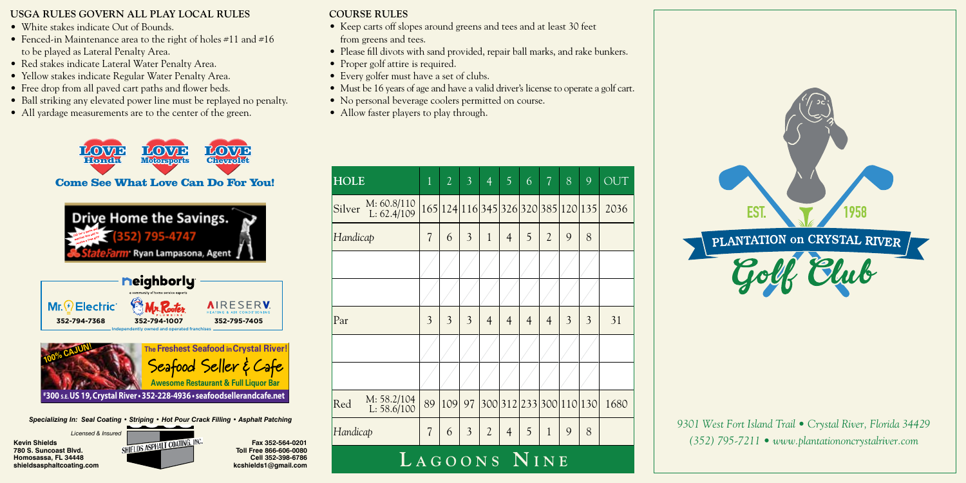## **USGA RULES GOVERN ALL PLAY LOCAL RULES**

- White stakes indicate Out of Bounds.
- Fenced-in Maintenance area to the right of holes #11 and #16 to be played as Lateral Penalty Area.
- Red stakes indicate Lateral Water Penalty Area.
- Yellow stakes indicate Regular Water Penalty Area.
- Free drop from all paved cart paths and flower beds.
- Ball striking any elevated power line must be replayed no penalty.
- All yardage measurements are to the center of the green.



Come See What Love Can Do For You!



**Fax 352-564-0201**

**Cell 352-398-6786**



- **COURSE RULES**
- Keep carts off slopes around greens and tees and at least 30 feet from greens and tees.
- Please fill divots with sand provided, repair ball marks, and rake bunkers.
- Proper golf attire is required.
- Every golfer must have a set of clubs.
- Must be 16 years of age and have a valid driver's license to operate a golf cart.
- No personal beverage coolers permitted on course.
- Allow faster players to play through.

| <b>HOLE</b>                            | $\overline{1}$           | $\overline{2}$ | $\overline{3}$ | $\overline{4}$ | 5              | 6              | $\overline{7}$ | 8 | 9                                  | OUT  |
|----------------------------------------|--------------------------|----------------|----------------|----------------|----------------|----------------|----------------|---|------------------------------------|------|
| M: 60.8/110<br>Silver<br>L: $62.4/109$ |                          |                |                |                |                |                |                |   | 165 124 16 345 326 320 385 120 135 | 2036 |
| Handicap                               | $\overline{\mathcal{L}}$ | 6              | 3              | $\mathbf{1}$   | $\overline{4}$ | 5              | $\overline{2}$ | 9 | 8                                  |      |
|                                        |                          |                |                |                |                |                |                |   |                                    |      |
|                                        |                          |                |                |                |                |                |                |   |                                    |      |
| Par                                    | 3                        | 3              | 3              | $\overline{4}$ | 4              | $\overline{4}$ | $\overline{4}$ | 3 | 3                                  | 31   |
|                                        |                          |                |                |                |                |                |                |   |                                    |      |
|                                        |                          |                |                |                |                |                |                |   |                                    |      |
| M: 58.2/104<br>Red<br>L: 58.6/100      | 89                       | 109            | 97             |                |                |                |                |   | 300 312 233 300 110 130            | 1680 |
| Handicap                               | $\overline{\mathcal{L}}$ | 6              | 3              | $\overline{2}$ | $\overline{4}$ | 5              | $\mathbf{1}$   | 9 | 8                                  |      |
| LAGOONS NINE                           |                          |                |                |                |                |                |                |   |                                    |      |



*9301 West Fort Island Trail • Crystal River, Florida 34429 (352) 795-7211 • www.plantationoncrystalriver.com*